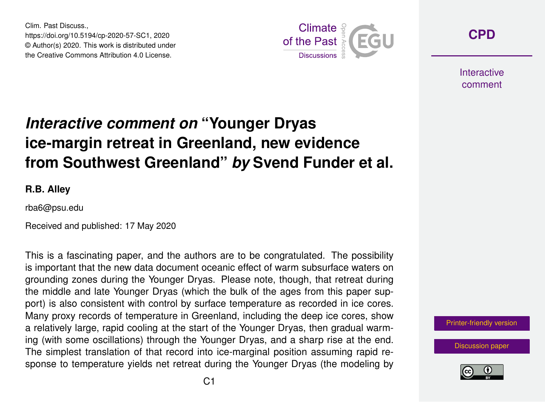Clim. Past Discuss., https://doi.org/10.5194/cp-2020-57-SC1, 2020 © Author(s) 2020. This work is distributed under the Creative Commons Attribution 4.0 License.



**[CPD](https://www.clim-past-discuss.net/)**

**Interactive** comment

## *Interactive comment on* **"Younger Dryas ice-margin retreat in Greenland, new evidence from Southwest Greenland"** *by* **Svend Funder et al.**

**R.B. Alley**

rba6@psu.edu

Received and published: 17 May 2020

This is a fascinating paper, and the authors are to be congratulated. The possibility is important that the new data document oceanic effect of warm subsurface waters on grounding zones during the Younger Dryas. Please note, though, that retreat during the middle and late Younger Dryas (which the bulk of the ages from this paper support) is also consistent with control by surface temperature as recorded in ice cores. Many proxy records of temperature in Greenland, including the deep ice cores, show a relatively large, rapid cooling at the start of the Younger Dryas, then gradual warming (with some oscillations) through the Younger Dryas, and a sharp rise at the end. The simplest translation of that record into ice-marginal position assuming rapid response to temperature yields net retreat during the Younger Dryas (the modeling by



[Discussion paper](https://www.clim-past-discuss.net/cp-2020-57)